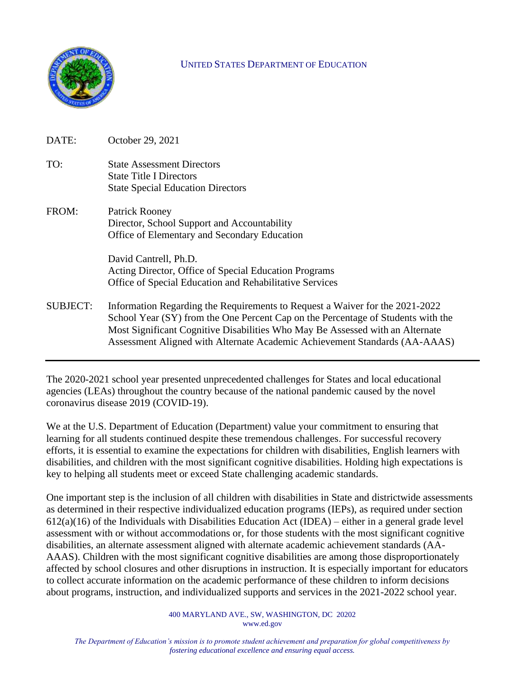

#### UNITED STATES DEPARTMENT OF EDUCATION

| DATE:           | October 29, 2021                                                                                                                                                                                                                                                                                                                |
|-----------------|---------------------------------------------------------------------------------------------------------------------------------------------------------------------------------------------------------------------------------------------------------------------------------------------------------------------------------|
| TO:             | <b>State Assessment Directors</b><br><b>State Title I Directors</b><br><b>State Special Education Directors</b>                                                                                                                                                                                                                 |
| FROM:           | Patrick Rooney<br>Director, School Support and Accountability<br>Office of Elementary and Secondary Education                                                                                                                                                                                                                   |
|                 | David Cantrell, Ph.D.<br>Acting Director, Office of Special Education Programs<br>Office of Special Education and Rehabilitative Services                                                                                                                                                                                       |
| <b>SUBJECT:</b> | Information Regarding the Requirements to Request a Waiver for the 2021-2022<br>School Year (SY) from the One Percent Cap on the Percentage of Students with the<br>Most Significant Cognitive Disabilities Who May Be Assessed with an Alternate<br>Assessment Aligned with Alternate Academic Achievement Standards (AA-AAAS) |

The 2020-2021 school year presented unprecedented challenges for States and local educational agencies (LEAs) throughout the country because of the national pandemic caused by the novel coronavirus disease 2019 (COVID-19).

We at the U.S. Department of Education (Department) value your commitment to ensuring that learning for all students continued despite these tremendous challenges. For successful recovery efforts, it is essential to examine the expectations for children with disabilities, English learners with disabilities, and children with the most significant cognitive disabilities. Holding high expectations is key to helping all students meet or exceed State challenging academic standards.

One important step is the inclusion of all children with disabilities in State and districtwide assessments as determined in their respective individualized education programs (IEPs), as required under section 612(a)(16) of the Individuals with Disabilities Education Act (IDEA) – either in a general grade level assessment with or without accommodations or, for those students with the most significant cognitive disabilities, an alternate assessment aligned with alternate academic achievement standards (AA-AAAS). Children with the most significant cognitive disabilities are among those disproportionately affected by school closures and other disruptions in instruction. It is especially important for educators to collect accurate information on the academic performance of these children to inform decisions about programs, instruction, and individualized supports and services in the 2021-2022 school year.

> 400 MARYLAND AVE., SW, WASHINGTON, DC 20202 www.ed.gov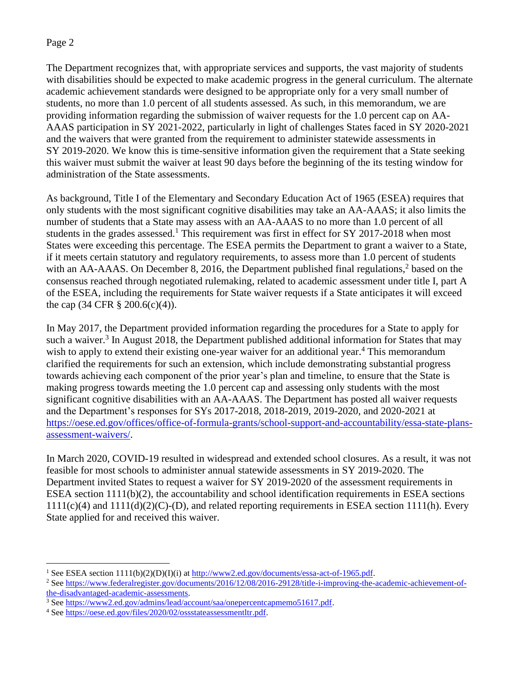The Department recognizes that, with appropriate services and supports, the vast majority of students with disabilities should be expected to make academic progress in the general curriculum. The alternate academic achievement standards were designed to be appropriate only for a very small number of students, no more than 1.0 percent of all students assessed. As such, in this memorandum, we are providing information regarding the submission of waiver requests for the 1.0 percent cap on AA-AAAS participation in SY 2021-2022, particularly in light of challenges States faced in SY 2020-2021 and the waivers that were granted from the requirement to administer statewide assessments in SY 2019-2020. We know this is time-sensitive information given the requirement that a State seeking this waiver must submit the waiver at least 90 days before the beginning of the its testing window for administration of the State assessments.

As background, Title I of the Elementary and Secondary Education Act of 1965 (ESEA) requires that only students with the most significant cognitive disabilities may take an AA-AAAS; it also limits the number of students that a State may assess with an AA-AAAS to no more than 1.0 percent of all students in the grades assessed.<sup>1</sup> This requirement was first in effect for SY 2017-2018 when most States were exceeding this percentage. The ESEA permits the Department to grant a waiver to a State, if it meets certain statutory and regulatory requirements, to assess more than 1.0 percent of students with an AA-AAAS. On December 8, 2016, the Department published final regulations,<sup>2</sup> based on the consensus reached through negotiated rulemaking, related to academic assessment under title I, part A of the ESEA, including the requirements for State waiver requests if a State anticipates it will exceed the cap  $(34 \text{ CFR } \S \ 200.6(c)(4))$ .

In May 2017, the Department provided information regarding the procedures for a State to apply for such a waiver.<sup>3</sup> In August 2018, the Department published additional information for States that may wish to apply to extend their existing one-year waiver for an additional year.<sup>4</sup> This memorandum clarified the requirements for such an extension, which include demonstrating substantial progress towards achieving each component of the prior year's plan and timeline, to ensure that the State is making progress towards meeting the 1.0 percent cap and assessing only students with the most significant cognitive disabilities with an AA-AAAS. The Department has posted all waiver requests and the Department's responses for SYs 2017-2018, 2018-2019, 2019-2020, and 2020-2021 at [https://oese.ed.gov/offices/office-of-formula-grants/school-support-and-accountability/essa-state-plans](https://oese.ed.gov/offices/office-of-formula-grants/school-support-and-accountability/essa-state-plans-assessment-waivers/)[assessment-waivers/.](https://oese.ed.gov/offices/office-of-formula-grants/school-support-and-accountability/essa-state-plans-assessment-waivers/)

In March 2020, COVID-19 resulted in widespread and extended school closures. As a result, it was not feasible for most schools to administer annual statewide assessments in SY 2019-2020. The Department invited States to request a waiver for SY 2019-2020 of the assessment requirements in ESEA section 1111(b)(2), the accountability and school identification requirements in ESEA sections  $1111(c)(4)$  and  $1111(d)(2)(C)$ -(D), and related reporting requirements in ESEA section 1111(h). Every State applied for and received this waiver.

<sup>&</sup>lt;sup>1</sup> See ESEA section 1111(b)(2)(D)(I)(i) at [http://www2.ed.gov/documents/essa-act-of-1965.pdf.](http://www2.ed.gov/documents/essa-act-of-1965.pdf)

<sup>&</sup>lt;sup>2</sup> Se[e https://www.federalregister.gov/documents/2016/12/08/2016-29128/title-i-improving-the-academic-achievement-of](https://www.federalregister.gov/documents/2016/12/08/2016-29128/title-i-improving-the-academic-achievement-of-the-disadvantaged-academic-assessments)[the-disadvantaged-academic-assessments.](https://www.federalregister.gov/documents/2016/12/08/2016-29128/title-i-improving-the-academic-achievement-of-the-disadvantaged-academic-assessments) 

<sup>&</sup>lt;sup>3</sup> Se[e https://www2.ed.gov/admins/lead/account/saa/onepercentcapmemo51617.pdf.](https://www2.ed.gov/admins/lead/account/saa/onepercentcapmemo51617.pdf)

<sup>4</sup> Se[e https://oese.ed.gov/files/2020/02/ossstateassessmentltr.pdf.](https://oese.ed.gov/files/2020/02/ossstateassessmentltr.pdf)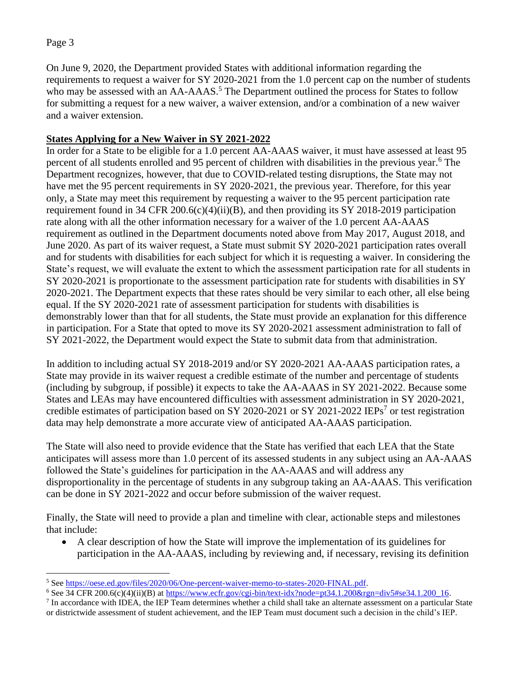On June 9, 2020, the Department provided States with additional information regarding the requirements to request a waiver for SY 2020-2021 from the 1.0 percent cap on the number of students who may be assessed with an AA-AAAS.<sup>5</sup> The Department outlined the process for States to follow for submitting a request for a new waiver, a waiver extension, and/or a combination of a new waiver and a waiver extension.

# **States Applying for a New Waiver in SY 2021-2022**

In order for a State to be eligible for a 1.0 percent AA-AAAS waiver, it must have assessed at least 95 percent of all students enrolled and 95 percent of children with disabilities in the previous year. <sup>6</sup> The Department recognizes, however, that due to COVID-related testing disruptions, the State may not have met the 95 percent requirements in SY 2020-2021, the previous year. Therefore, for this year only, a State may meet this requirement by requesting a waiver to the 95 percent participation rate requirement found in 34 CFR 200.6(c)(4)(ii)(B), and then providing its SY 2018-2019 participation rate along with all the other information necessary for a waiver of the 1.0 percent AA-AAAS requirement as outlined in the Department documents noted above from May 2017, August 2018, and June 2020. As part of its waiver request, a State must submit SY 2020-2021 participation rates overall and for students with disabilities for each subject for which it is requesting a waiver. In considering the State's request, we will evaluate the extent to which the assessment participation rate for all students in SY 2020-2021 is proportionate to the assessment participation rate for students with disabilities in SY 2020-2021. The Department expects that these rates should be very similar to each other, all else being equal. If the SY 2020-2021 rate of assessment participation for students with disabilities is demonstrably lower than that for all students, the State must provide an explanation for this difference in participation. For a State that opted to move its SY 2020-2021 assessment administration to fall of SY 2021-2022, the Department would expect the State to submit data from that administration.

In addition to including actual SY 2018-2019 and/or SY 2020-2021 AA-AAAS participation rates, a State may provide in its waiver request a credible estimate of the number and percentage of students (including by subgroup, if possible) it expects to take the AA-AAAS in SY 2021-2022. Because some States and LEAs may have encountered difficulties with assessment administration in SY 2020-2021, credible estimates of participation based on SY 2020-2021 or SY 2021-2022 IEPs<sup>7</sup> or test registration data may help demonstrate a more accurate view of anticipated AA-AAAS participation.

The State will also need to provide evidence that the State has verified that each LEA that the State anticipates will assess more than 1.0 percent of its assessed students in any subject using an AA-AAAS followed the State's guidelines for participation in the AA-AAAS and will address any disproportionality in the percentage of students in any subgroup taking an AA-AAAS. This verification can be done in SY 2021-2022 and occur before submission of the waiver request.

Finally, the State will need to provide a plan and timeline with clear, actionable steps and milestones that include:

• A clear description of how the State will improve the implementation of its guidelines for participation in the AA-AAAS, including by reviewing and, if necessary, revising its definition

<sup>5</sup> See [https://oese.ed.gov/files/2020/06/One-percent-waiver-memo-to-states-2020-FINAL.pdf.](https://oese.ed.gov/files/2020/06/One-percent-waiver-memo-to-states-2020-FINAL.pdf)

<sup>&</sup>lt;sup>6</sup> See 34 CFR 200.6(c)(4)(ii)(B) at [https://www.ecfr.gov/cgi-bin/text-idx?node=pt34.1.200&rgn=div5#se34.1.200\\_16.](https://www.ecfr.gov/cgi-bin/text-idx?node=pt34.1.200&rgn=div5#se34.1.200_16)

 $<sup>7</sup>$  In accordance with IDEA, the IEP Team determines whether a child shall take an alternate assessment on a particular State</sup> or districtwide assessment of student achievement, and the IEP Team must document such a decision in the child's IEP.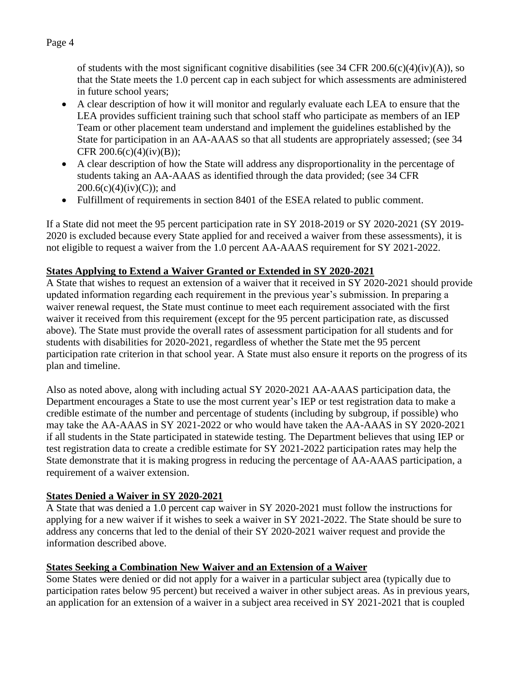of students with the most significant cognitive disabilities (see 34 CFR 200.6(c)(4)(iv)(A)), so that the State meets the 1.0 percent cap in each subject for which assessments are administered in future school years;

- A clear description of how it will monitor and regularly evaluate each LEA to ensure that the LEA provides sufficient training such that school staff who participate as members of an IEP Team or other placement team understand and implement the guidelines established by the State for participation in an AA-AAAS so that all students are appropriately assessed; (see 34 CFR 200.6(c)(4)(iv)(B));
- A clear description of how the State will address any disproportionality in the percentage of students taking an AA-AAAS as identified through the data provided; (see 34 CFR  $200.6(c)(4)(iv)(C)$ ; and
- Fulfillment of requirements in section 8401 of the ESEA related to public comment.

If a State did not meet the 95 percent participation rate in SY 2018-2019 or SY 2020-2021 (SY 2019- 2020 is excluded because every State applied for and received a waiver from these assessments), it is not eligible to request a waiver from the 1.0 percent AA-AAAS requirement for SY 2021-2022.

# **States Applying to Extend a Waiver Granted or Extended in SY 2020-2021**

A State that wishes to request an extension of a waiver that it received in SY 2020-2021 should provide updated information regarding each requirement in the previous year's submission. In preparing a waiver renewal request, the State must continue to meet each requirement associated with the first waiver it received from this requirement (except for the 95 percent participation rate, as discussed above). The State must provide the overall rates of assessment participation for all students and for students with disabilities for 2020-2021, regardless of whether the State met the 95 percent participation rate criterion in that school year. A State must also ensure it reports on the progress of its plan and timeline.

Also as noted above, along with including actual SY 2020-2021 AA-AAAS participation data, the Department encourages a State to use the most current year's IEP or test registration data to make a credible estimate of the number and percentage of students (including by subgroup, if possible) who may take the AA-AAAS in SY 2021-2022 or who would have taken the AA-AAAS in SY 2020-2021 if all students in the State participated in statewide testing. The Department believes that using IEP or test registration data to create a credible estimate for SY 2021-2022 participation rates may help the State demonstrate that it is making progress in reducing the percentage of AA-AAAS participation, a requirement of a waiver extension.

# **States Denied a Waiver in SY 2020-2021**

A State that was denied a 1.0 percent cap waiver in SY 2020-2021 must follow the instructions for applying for a new waiver if it wishes to seek a waiver in SY 2021-2022. The State should be sure to address any concerns that led to the denial of their SY 2020-2021 waiver request and provide the information described above.

# **States Seeking a Combination New Waiver and an Extension of a Waiver**

Some States were denied or did not apply for a waiver in a particular subject area (typically due to participation rates below 95 percent) but received a waiver in other subject areas. As in previous years, an application for an extension of a waiver in a subject area received in SY 2021-2021 that is coupled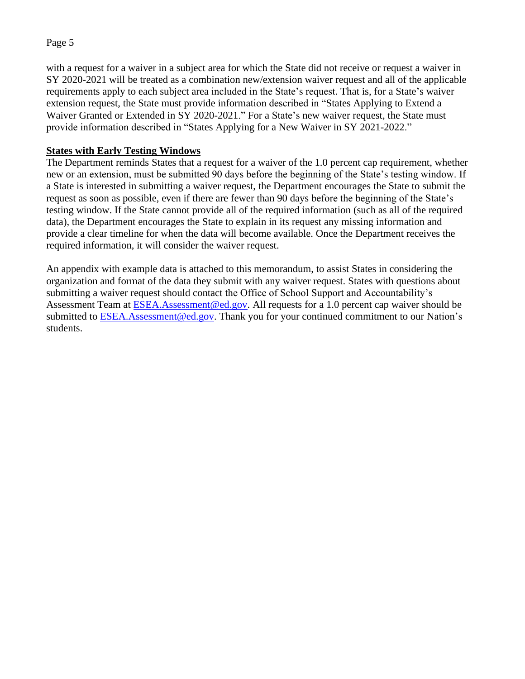with a request for a waiver in a subject area for which the State did not receive or request a waiver in SY 2020-2021 will be treated as a combination new/extension waiver request and all of the applicable requirements apply to each subject area included in the State's request. That is, for a State's waiver extension request, the State must provide information described in "States Applying to Extend a Waiver Granted or Extended in SY 2020-2021." For a State's new waiver request, the State must provide information described in "States Applying for a New Waiver in SY 2021-2022."

#### **States with Early Testing Windows**

The Department reminds States that a request for a waiver of the 1.0 percent cap requirement, whether new or an extension, must be submitted 90 days before the beginning of the State's testing window. If a State is interested in submitting a waiver request, the Department encourages the State to submit the request as soon as possible, even if there are fewer than 90 days before the beginning of the State's testing window. If the State cannot provide all of the required information (such as all of the required data), the Department encourages the State to explain in its request any missing information and provide a clear timeline for when the data will become available. Once the Department receives the required information, it will consider the waiver request.

An appendix with example data is attached to this memorandum, to assist States in considering the organization and format of the data they submit with any waiver request. States with questions about submitting a waiver request should contact the Office of School Support and Accountability's Assessment Team at [ESEA.Assessment@ed.gov.](mailto:ESEA.Assessment@ed.gov) All requests for a 1.0 percent cap waiver should be submitted to [ESEA.Assessment@ed.gov.](mailto:ESEA.Assessment@ed.gov) Thank you for your continued commitment to our Nation's students.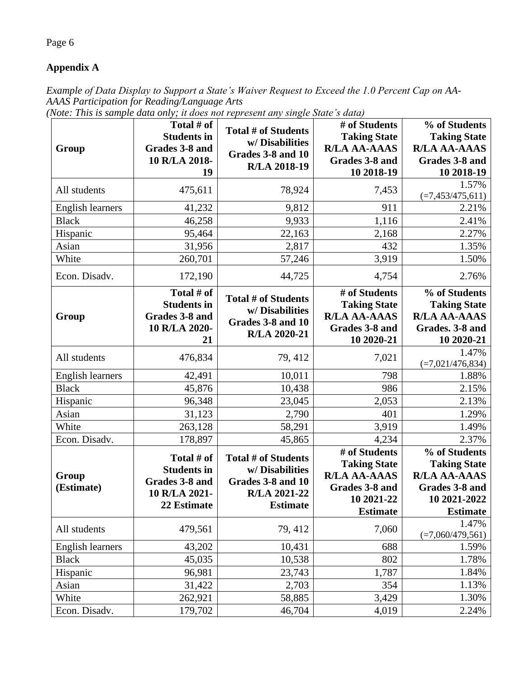# **Appendix A**

*Example of Data Display to Support a State's Waiver Request to Exceed the 1.0 Percent Cap on AA-AAAS Participation for Reading/Language Arts*

|  | (Note: This is sample data only; it does not represent any single State's data) |  |  |  |  |  |
|--|---------------------------------------------------------------------------------|--|--|--|--|--|
|  |                                                                                 |  |  |  |  |  |

|                         | Total # of                                                                         |                                                                                                      | # of Students                                                                                                  | % of Students                                                                                                    |
|-------------------------|------------------------------------------------------------------------------------|------------------------------------------------------------------------------------------------------|----------------------------------------------------------------------------------------------------------------|------------------------------------------------------------------------------------------------------------------|
|                         | <b>Students in</b>                                                                 | <b>Total # of Students</b>                                                                           | <b>Taking State</b>                                                                                            | <b>Taking State</b>                                                                                              |
| Group                   | Grades 3-8 and                                                                     | w/Disabilities<br>Grades 3-8 and 10                                                                  | <b>R/LA AA-AAAS</b>                                                                                            | <b>R/LA AA-AAAS</b>                                                                                              |
|                         | 10 R/LA 2018-                                                                      | R/LA 2018-19                                                                                         | Grades 3-8 and                                                                                                 | Grades 3-8 and                                                                                                   |
|                         | 19                                                                                 |                                                                                                      | 10 2018-19                                                                                                     | 10 2018-19                                                                                                       |
| All students            | 475,611                                                                            | 78,924                                                                                               | 7,453                                                                                                          | 1.57%<br>$(=7, 453/475, 611)$                                                                                    |
| <b>English learners</b> | 41,232                                                                             | 9,812                                                                                                | 911                                                                                                            | 2.21%                                                                                                            |
| <b>Black</b>            | 46,258                                                                             | 9,933                                                                                                | 1,116                                                                                                          | 2.41%                                                                                                            |
| Hispanic                | 95,464                                                                             | 22,163                                                                                               | 2,168                                                                                                          | 2.27%                                                                                                            |
| Asian                   | 31,956                                                                             | 2,817                                                                                                | 432                                                                                                            | 1.35%                                                                                                            |
| White                   | 260,701                                                                            | 57,246                                                                                               | 3,919                                                                                                          | 1.50%                                                                                                            |
| Econ. Disadv.           | 172,190                                                                            | 44,725                                                                                               | 4,754                                                                                                          | 2.76%                                                                                                            |
| Group                   | Total # of<br><b>Students in</b><br>Grades 3-8 and<br>10 R/LA 2020-                | <b>Total # of Students</b><br>w/Disabilities<br>Grades 3-8 and 10<br>R/LA 2020-21                    | # of Students<br><b>Taking State</b><br><b>R/LA AA-AAAS</b><br>Grades 3-8 and                                  | % of Students<br><b>Taking State</b><br><b>R/LA AA-AAAS</b><br>Grades. 3-8 and                                   |
|                         | 21                                                                                 |                                                                                                      | 10 2020-21                                                                                                     | 10 2020-21                                                                                                       |
| All students            | 476,834                                                                            | 79, 412                                                                                              | 7,021                                                                                                          | 1.47%<br>$(=7,021/476,834)$                                                                                      |
| <b>English learners</b> | 42,491                                                                             | 10,011                                                                                               | 798                                                                                                            | 1.88%                                                                                                            |
| <b>Black</b>            | 45,876                                                                             | 10,438                                                                                               | 986                                                                                                            | 2.15%                                                                                                            |
| Hispanic                | 96,348                                                                             | 23,045                                                                                               | 2,053                                                                                                          | 2.13%                                                                                                            |
| Asian                   | 31,123                                                                             | 2,790                                                                                                | 401                                                                                                            | 1.29%                                                                                                            |
| White                   | 263,128                                                                            | 58,291                                                                                               | 3,919                                                                                                          | 1.49%                                                                                                            |
| Econ. Disadv.           | 178,897                                                                            | 45,865                                                                                               | 4,234                                                                                                          | 2.37%                                                                                                            |
| Group<br>(Estimate)     | Total # of<br><b>Students in</b><br>Grades 3-8 and<br>10 R/LA 2021-<br>22 Estimate | <b>Total # of Students</b><br>w/Disabilities<br>Grades 3-8 and 10<br>R/LA 2021-22<br><b>Estimate</b> | # of Students<br><b>Taking State</b><br><b>R/LA AA-AAAS</b><br>Grades 3-8 and<br>10 2021-22<br><b>Estimate</b> | % of Students<br><b>Taking State</b><br><b>R/LA AA-AAAS</b><br>Grades 3-8 and<br>10 2021-2022<br><b>Estimate</b> |
| All students            | 479,561                                                                            | 79, 412                                                                                              | 7,060                                                                                                          | 1.47%<br>$(=7,060/479,561)$                                                                                      |
| English learners        | 43,202                                                                             | 10,431                                                                                               | 688                                                                                                            | 1.59%                                                                                                            |
| <b>Black</b>            | 45,035                                                                             | 10,538                                                                                               | 802                                                                                                            | 1.78%                                                                                                            |
| Hispanic                | 96,981                                                                             | 23,743                                                                                               | 1,787                                                                                                          | 1.84%                                                                                                            |
| Asian                   | 31,422                                                                             | 2,703                                                                                                | 354                                                                                                            | 1.13%                                                                                                            |
| White                   | 262,921                                                                            | 58,885                                                                                               | 3,429                                                                                                          | 1.30%                                                                                                            |
| Econ. Disadv.           | 179,702                                                                            | 46,704                                                                                               | 4,019                                                                                                          | 2.24%                                                                                                            |